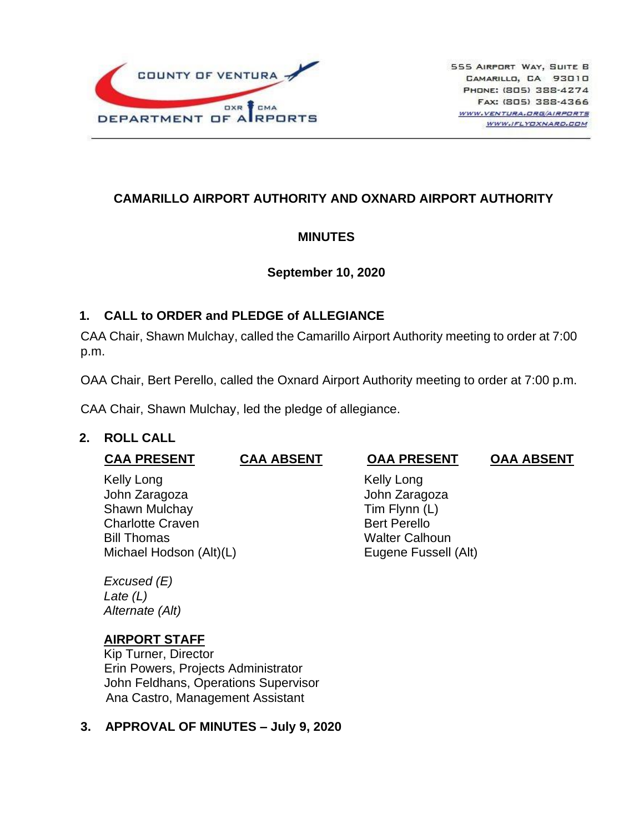

# **CAMARILLO AIRPORT AUTHORITY AND OXNARD AIRPORT AUTHORITY**

## **MINUTES**

### **September 10, 2020**

## **1. CALL to ORDER and PLEDGE of ALLEGIANCE**

CAA Chair, Shawn Mulchay, called the Camarillo Airport Authority meeting to order at 7:00 p.m.

OAA Chair, Bert Perello, called the Oxnard Airport Authority meeting to order at 7:00 p.m.

CAA Chair, Shawn Mulchay, led the pledge of allegiance.

## **2. ROLL CALL**

| <b>CAA PRESENT</b>                                                                                                       | <b>CAA ABSENT</b> | <b>OAA PRESENT</b>                                                                                                   | <b>OAA ABSENT</b> |
|--------------------------------------------------------------------------------------------------------------------------|-------------------|----------------------------------------------------------------------------------------------------------------------|-------------------|
| Kelly Long<br>John Zaragoza<br>Shawn Mulchay<br><b>Charlotte Craven</b><br><b>Bill Thomas</b><br>Michael Hodson (Alt)(L) |                   | Kelly Long<br>John Zaragoza<br>Tim Flynn (L)<br><b>Bert Perello</b><br><b>Walter Calhoun</b><br>Eugene Fussell (Alt) |                   |
| Excused (E)<br>Late $(L)$<br>Alternate (Alt)                                                                             |                   |                                                                                                                      |                   |

## **AIRPORT STAFF**

Kip Turner, Director Erin Powers, Projects Administrator John Feldhans, Operations Supervisor Ana Castro, Management Assistant

## **3. APPROVAL OF MINUTES – July 9, 2020**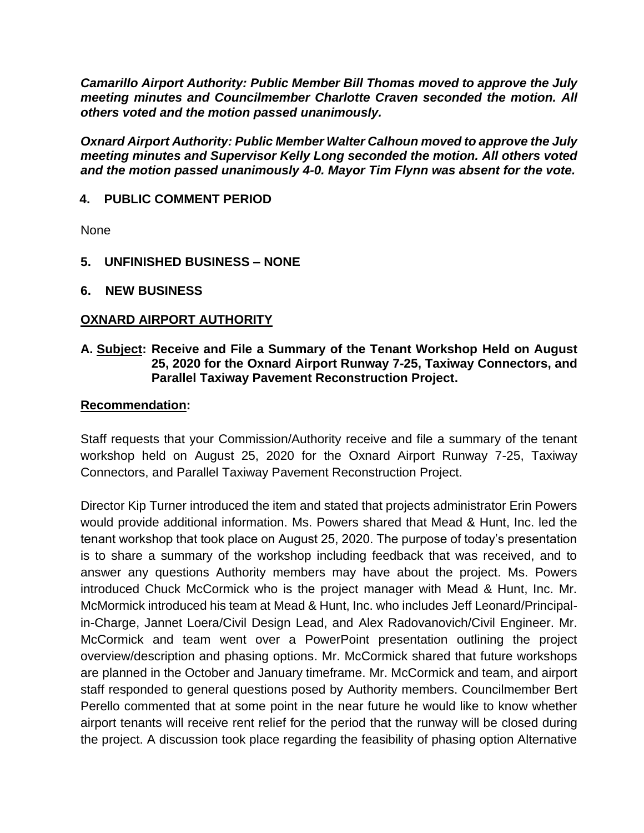*Camarillo Airport Authority: Public Member Bill Thomas moved to approve the July meeting minutes and Councilmember Charlotte Craven seconded the motion. All others voted and the motion passed unanimously.*

*Oxnard Airport Authority: Public Member Walter Calhoun moved to approve the July meeting minutes and Supervisor Kelly Long seconded the motion. All others voted and the motion passed unanimously 4-0. Mayor Tim Flynn was absent for the vote.* 

### **4. PUBLIC COMMENT PERIOD**

None

- **5. UNFINISHED BUSINESS – NONE**
- **6. NEW BUSINESS**

#### **OXNARD AIRPORT AUTHORITY**

#### **A. Subject: Receive and File a Summary of the Tenant Workshop Held on August 25, 2020 for the Oxnard Airport Runway 7-25, Taxiway Connectors, and Parallel Taxiway Pavement Reconstruction Project.**

#### **Recommendation:**

Staff requests that your Commission/Authority receive and file a summary of the tenant workshop held on August 25, 2020 for the Oxnard Airport Runway 7-25, Taxiway Connectors, and Parallel Taxiway Pavement Reconstruction Project.

Director Kip Turner introduced the item and stated that projects administrator Erin Powers would provide additional information. Ms. Powers shared that Mead & Hunt, Inc. led the tenant workshop that took place on August 25, 2020. The purpose of today's presentation is to share a summary of the workshop including feedback that was received, and to answer any questions Authority members may have about the project. Ms. Powers introduced Chuck McCormick who is the project manager with Mead & Hunt, Inc. Mr. McMormick introduced his team at Mead & Hunt, Inc. who includes Jeff Leonard/Principalin-Charge, Jannet Loera/Civil Design Lead, and Alex Radovanovich/Civil Engineer. Mr. McCormick and team went over a PowerPoint presentation outlining the project overview/description and phasing options. Mr. McCormick shared that future workshops are planned in the October and January timeframe. Mr. McCormick and team, and airport staff responded to general questions posed by Authority members. Councilmember Bert Perello commented that at some point in the near future he would like to know whether airport tenants will receive rent relief for the period that the runway will be closed during the project. A discussion took place regarding the feasibility of phasing option Alternative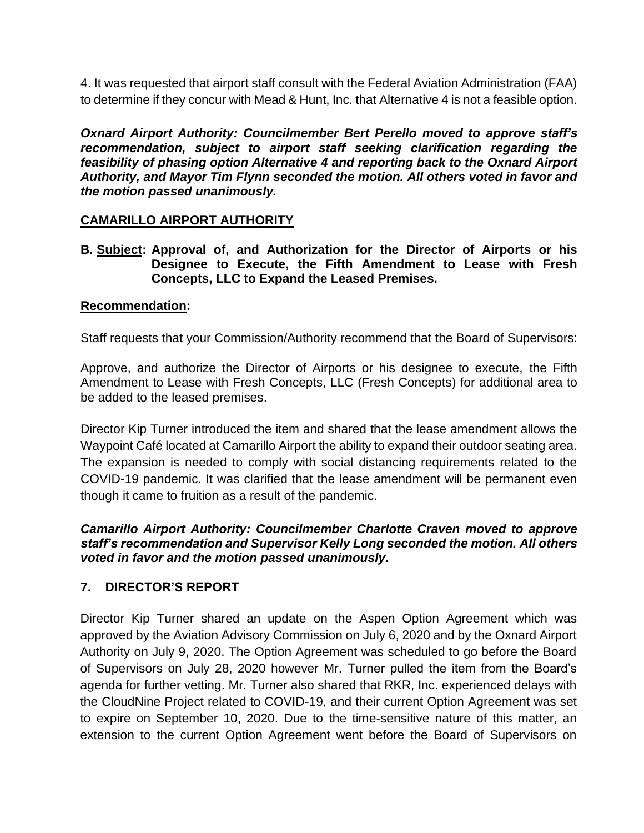4. It was requested that airport staff consult with the Federal Aviation Administration (FAA) to determine if they concur with Mead & Hunt, Inc. that Alternative 4 is not a feasible option.

*Oxnard Airport Authority: Councilmember Bert Perello moved to approve staff's recommendation, subject to airport staff seeking clarification regarding the feasibility of phasing option Alternative 4 and reporting back to the Oxnard Airport Authority, and Mayor Tim Flynn seconded the motion. All others voted in favor and the motion passed unanimously.*

### **CAMARILLO AIRPORT AUTHORITY**

**B. Subject: Approval of, and Authorization for the Director of Airports or his Designee to Execute, the Fifth Amendment to Lease with Fresh Concepts, LLC to Expand the Leased Premises.**

#### **Recommendation:**

Staff requests that your Commission/Authority recommend that the Board of Supervisors:

Approve, and authorize the Director of Airports or his designee to execute, the Fifth Amendment to Lease with Fresh Concepts, LLC (Fresh Concepts) for additional area to be added to the leased premises.

Director Kip Turner introduced the item and shared that the lease amendment allows the Waypoint Café located at Camarillo Airport the ability to expand their outdoor seating area. The expansion is needed to comply with social distancing requirements related to the COVID-19 pandemic. It was clarified that the lease amendment will be permanent even though it came to fruition as a result of the pandemic.

#### *Camarillo Airport Authority: Councilmember Charlotte Craven moved to approve staff's recommendation and Supervisor Kelly Long seconded the motion. All others voted in favor and the motion passed unanimously.*

#### **7. DIRECTOR'S REPORT**

Director Kip Turner shared an update on the Aspen Option Agreement which was approved by the Aviation Advisory Commission on July 6, 2020 and by the Oxnard Airport Authority on July 9, 2020. The Option Agreement was scheduled to go before the Board of Supervisors on July 28, 2020 however Mr. Turner pulled the item from the Board's agenda for further vetting. Mr. Turner also shared that RKR, Inc. experienced delays with the CloudNine Project related to COVID-19, and their current Option Agreement was set to expire on September 10, 2020. Due to the time-sensitive nature of this matter, an extension to the current Option Agreement went before the Board of Supervisors on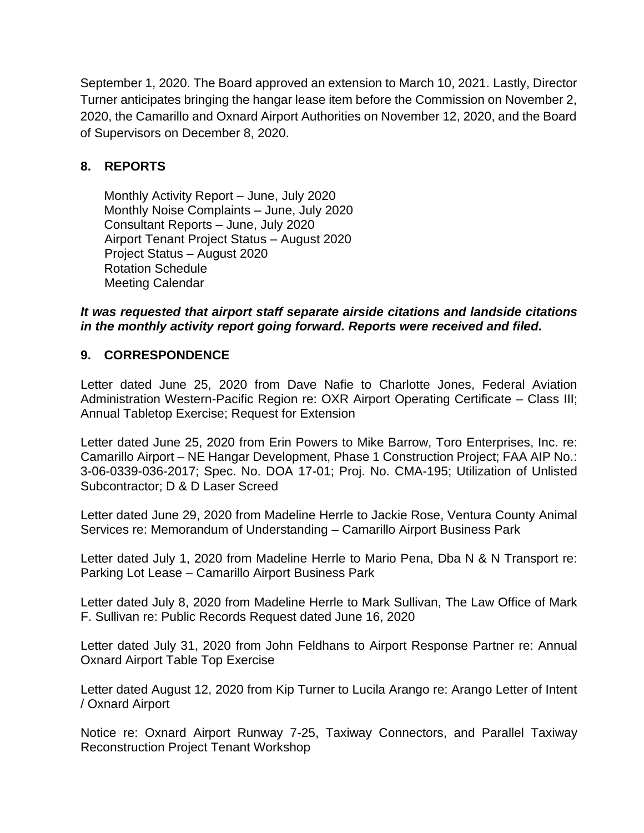September 1, 2020. The Board approved an extension to March 10, 2021. Lastly, Director Turner anticipates bringing the hangar lease item before the Commission on November 2, 2020, the Camarillo and Oxnard Airport Authorities on November 12, 2020, and the Board of Supervisors on December 8, 2020.

# **8. REPORTS**

Monthly Activity Report – June, July 2020 Monthly Noise Complaints – June, July 2020 Consultant Reports – June, July 2020 Airport Tenant Project Status – August 2020 Project Status – August 2020 Rotation Schedule Meeting Calendar

*It was requested that airport staff separate airside citations and landside citations in the monthly activity report going forward. Reports were received and filed.*

# **9. CORRESPONDENCE**

Letter dated June 25, 2020 from Dave Nafie to Charlotte Jones, Federal Aviation Administration Western-Pacific Region re: OXR Airport Operating Certificate – Class III; Annual Tabletop Exercise; Request for Extension

Letter dated June 25, 2020 from Erin Powers to Mike Barrow, Toro Enterprises, Inc. re: Camarillo Airport – NE Hangar Development, Phase 1 Construction Project; FAA AIP No.: 3-06-0339-036-2017; Spec. No. DOA 17-01; Proj. No. CMA-195; Utilization of Unlisted Subcontractor; D & D Laser Screed

Letter dated June 29, 2020 from Madeline Herrle to Jackie Rose, Ventura County Animal Services re: Memorandum of Understanding – Camarillo Airport Business Park

Letter dated July 1, 2020 from Madeline Herrle to Mario Pena, Dba N & N Transport re: Parking Lot Lease – Camarillo Airport Business Park

Letter dated July 8, 2020 from Madeline Herrle to Mark Sullivan, The Law Office of Mark F. Sullivan re: Public Records Request dated June 16, 2020

Letter dated July 31, 2020 from John Feldhans to Airport Response Partner re: Annual Oxnard Airport Table Top Exercise

Letter dated August 12, 2020 from Kip Turner to Lucila Arango re: Arango Letter of Intent / Oxnard Airport

Notice re: Oxnard Airport Runway 7-25, Taxiway Connectors, and Parallel Taxiway Reconstruction Project Tenant Workshop